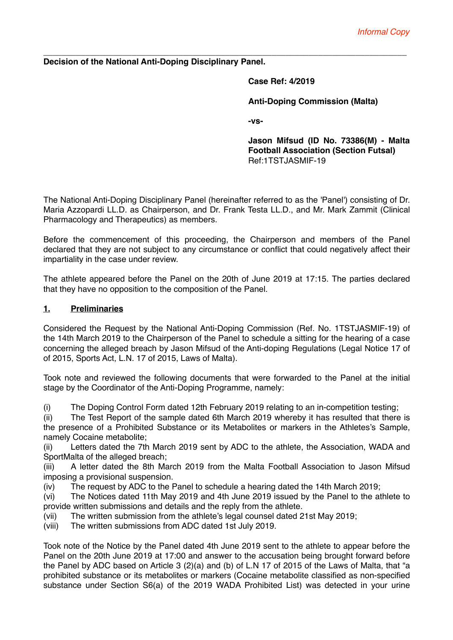\_\_\_\_\_\_\_\_\_\_\_\_\_\_\_\_\_\_\_\_\_\_\_\_\_\_\_\_\_\_\_\_\_\_\_\_\_\_\_\_\_\_\_\_\_\_\_\_\_\_\_\_\_\_\_\_\_\_\_\_\_\_\_\_\_\_\_\_\_\_\_\_\_\_\_\_\_\_ **Decision of the National Anti-Doping Disciplinary Panel.**

**Case Ref: 4/2019**

**Anti-Doping Commission (Malta)**

**-vs-**

**Jason Mifsud (ID No. 73386(M) - Malta Football Association (Section Futsal)** Ref:1TSTJASMIF-19

The National Anti-Doping Disciplinary Panel (hereinafter referred to as the 'Panel') consisting of Dr. Maria Azzopardi LL.D. as Chairperson, and Dr. Frank Testa LL.D., and Mr. Mark Zammit (Clinical Pharmacology and Therapeutics) as members.

Before the commencement of this proceeding, the Chairperson and members of the Panel declared that they are not subject to any circumstance or conflict that could negatively affect their impartiality in the case under review.

The athlete appeared before the Panel on the 20th of June 2019 at 17:15. The parties declared that they have no opposition to the composition of the Panel.

## **1. Preliminaries**

Considered the Request by the National Anti-Doping Commission (Ref. No. 1TSTJASMIF-19) of the 14th March 2019 to the Chairperson of the Panel to schedule a sitting for the hearing of a case concerning the alleged breach by Jason Mifsud of the Anti-doping Regulations (Legal Notice 17 of of 2015, Sports Act, L.N. 17 of 2015, Laws of Malta).

Took note and reviewed the following documents that were forwarded to the Panel at the initial stage by the Coordinator of the Anti-Doping Programme, namely:

(i) The Doping Control Form dated 12th February 2019 relating to an in-competition testing;

(ii) The Test Report of the sample dated 6th March 2019 whereby it has resulted that there is the presence of a Prohibited Substance or its Metabolites or markers in the Athletes's Sample, namely Cocaine metabolite;

(ii) Letters dated the 7th March 2019 sent by ADC to the athlete, the Association, WADA and SportMalta of the alleged breach:

(iii) A letter dated the 8th March 2019 from the Malta Football Association to Jason Mifsud imposing a provisional suspension.

(iv) The request by ADC to the Panel to schedule a hearing dated the 14th March 2019;

(vi) The Notices dated 11th May 2019 and 4th June 2019 issued by the Panel to the athlete to provide written submissions and details and the reply from the athlete.

(vii) The written submission from the athlete's legal counsel dated 21st May 2019;

(viii) The written submissions from ADC dated 1st July 2019.

Took note of the Notice by the Panel dated 4th June 2019 sent to the athlete to appear before the Panel on the 20th June 2019 at 17:00 and answer to the accusation being brought forward before the Panel by ADC based on Article 3 (2)(a) and (b) of L.N 17 of 2015 of the Laws of Malta, that "a prohibited substance or its metabolites or markers (Cocaine metabolite classified as non-specified substance under Section S6(a) of the 2019 WADA Prohibited List) was detected in your urine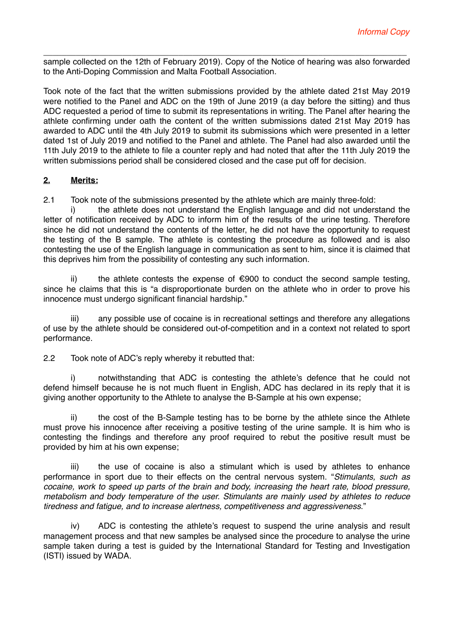\_\_\_\_\_\_\_\_\_\_\_\_\_\_\_\_\_\_\_\_\_\_\_\_\_\_\_\_\_\_\_\_\_\_\_\_\_\_\_\_\_\_\_\_\_\_\_\_\_\_\_\_\_\_\_\_\_\_\_\_\_\_\_\_\_\_\_\_\_\_\_\_\_\_\_\_\_\_ sample collected on the 12th of February 2019). Copy of the Notice of hearing was also forwarded to the Anti-Doping Commission and Malta Football Association.

Took note of the fact that the written submissions provided by the athlete dated 21st May 2019 were notified to the Panel and ADC on the 19th of June 2019 (a day before the sitting) and thus ADC requested a period of time to submit its representations in writing. The Panel after hearing the athlete confirming under oath the content of the written submissions dated 21st May 2019 has awarded to ADC until the 4th July 2019 to submit its submissions which were presented in a letter dated 1st of July 2019 and notified to the Panel and athlete. The Panel had also awarded until the 11th July 2019 to the athlete to file a counter reply and had noted that after the 11th July 2019 the written submissions period shall be considered closed and the case put off for decision.

## **2. Merits:**

2.1 Took note of the submissions presented by the athlete which are mainly three-fold:

i) the athlete does not understand the English language and did not understand the letter of notification received by ADC to inform him of the results of the urine testing. Therefore since he did not understand the contents of the letter, he did not have the opportunity to request the testing of the B sample. The athlete is contesting the procedure as followed and is also contesting the use of the English language in communication as sent to him, since it is claimed that this deprives him from the possibility of contesting any such information.

ii) the athlete contests the expense of €900 to conduct the second sample testing, since he claims that this is "a disproportionate burden on the athlete who in order to prove his innocence must undergo significant financial hardship."

iii) any possible use of cocaine is in recreational settings and therefore any allegations of use by the athlete should be considered out-of-competition and in a context not related to sport performance.

2.2 Took note of ADC's reply whereby it rebutted that:

i) notwithstanding that ADC is contesting the athlete's defence that he could not defend himself because he is not much fluent in English, ADC has declared in its reply that it is giving another opportunity to the Athlete to analyse the B-Sample at his own expense;

ii) the cost of the B-Sample testing has to be borne by the athlete since the Athlete must prove his innocence after receiving a positive testing of the urine sample. It is him who is contesting the findings and therefore any proof required to rebut the positive result must be provided by him at his own expense;

iii) the use of cocaine is also a stimulant which is used by athletes to enhance performance in sport due to their effects on the central nervous system. "*Stimulants, such as cocaine, work to speed up parts of the brain and body, increasing the heart rate, blood pressure, metabolism and body temperature of the user. Stimulants are mainly used by athletes to reduce tiredness and fatigue, and to increase alertness, competitiveness and aggressiveness*."

iv) ADC is contesting the athlete's request to suspend the urine analysis and result management process and that new samples be analysed since the procedure to analyse the urine sample taken during a test is guided by the International Standard for Testing and Investigation (ISTI) issued by WADA.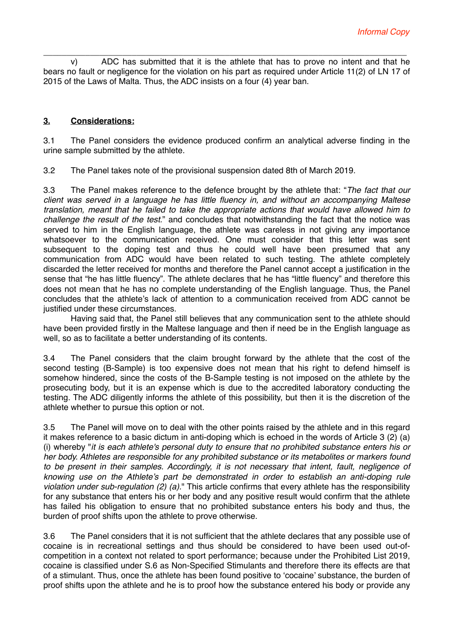\_\_\_\_\_\_\_\_\_\_\_\_\_\_\_\_\_\_\_\_\_\_\_\_\_\_\_\_\_\_\_\_\_\_\_\_\_\_\_\_\_\_\_\_\_\_\_\_\_\_\_\_\_\_\_\_\_\_\_\_\_\_\_\_\_\_\_\_\_\_\_\_\_\_\_\_\_\_ v) ADC has submitted that it is the athlete that has to prove no intent and that he bears no fault or negligence for the violation on his part as required under Article 11(2) of LN 17 of 2015 of the Laws of Malta. Thus, the ADC insists on a four (4) year ban.

## **3. Considerations:**

3.1 The Panel considers the evidence produced confirm an analytical adverse finding in the urine sample submitted by the athlete.

3.2 The Panel takes note of the provisional suspension dated 8th of March 2019.

3.3 The Panel makes reference to the defence brought by the athlete that: "*The fact that our client was served in a language he has little fluency in, and without an accompanying Maltese translation, meant that he failed to take the appropriate actions that would have allowed him to challenge the result of the test.*" and concludes that notwithstanding the fact that the notice was served to him in the English language, the athlete was careless in not giving any importance whatsoever to the communication received. One must consider that this letter was sent subsequent to the doping test and thus he could well have been presumed that any communication from ADC would have been related to such testing. The athlete completely discarded the letter received for months and therefore the Panel cannot accept a justification in the sense that "he has little fluency". The athlete declares that he has "little fluency" and therefore this does not mean that he has no complete understanding of the English language. Thus, the Panel concludes that the athlete's lack of attention to a communication received from ADC cannot be justified under these circumstances.

Having said that, the Panel still believes that any communication sent to the athlete should have been provided firstly in the Maltese language and then if need be in the English language as well, so as to facilitate a better understanding of its contents.

3.4 The Panel considers that the claim brought forward by the athlete that the cost of the second testing (B-Sample) is too expensive does not mean that his right to defend himself is somehow hindered, since the costs of the B-Sample testing is not imposed on the athlete by the prosecuting body, but it is an expense which is due to the accredited laboratory conducting the testing. The ADC diligently informs the athlete of this possibility, but then it is the discretion of the athlete whether to pursue this option or not.

3.5 The Panel will move on to deal with the other points raised by the athlete and in this regard it makes reference to a basic dictum in anti-doping which is echoed in the words of Article 3 (2) (a) (i) whereby "*it is each athlete's personal duty to ensure that no prohibited substance enters his or her body. Athletes are responsible for any prohibited substance or its metabolites or markers found to be present in their samples. Accordingly, it is not necessary that intent, fault, negligence of knowing use on the Athlete's part be demonstrated in order to establish an anti-doping rule violation under sub-regulation (2) (a).*" This article confirms that every athlete has the responsibility for any substance that enters his or her body and any positive result would confirm that the athlete has failed his obligation to ensure that no prohibited substance enters his body and thus, the burden of proof shifts upon the athlete to prove otherwise.

3.6 The Panel considers that it is not sufficient that the athlete declares that any possible use of cocaine is in recreational settings and thus should be considered to have been used out-ofcompetition in a context not related to sport performance; because under the Prohibited List 2019, cocaine is classified under S.6 as Non-Specified Stimulants and therefore there its effects are that of a stimulant. Thus, once the athlete has been found positive to 'cocaine' substance, the burden of proof shifts upon the athlete and he is to proof how the substance entered his body or provide any